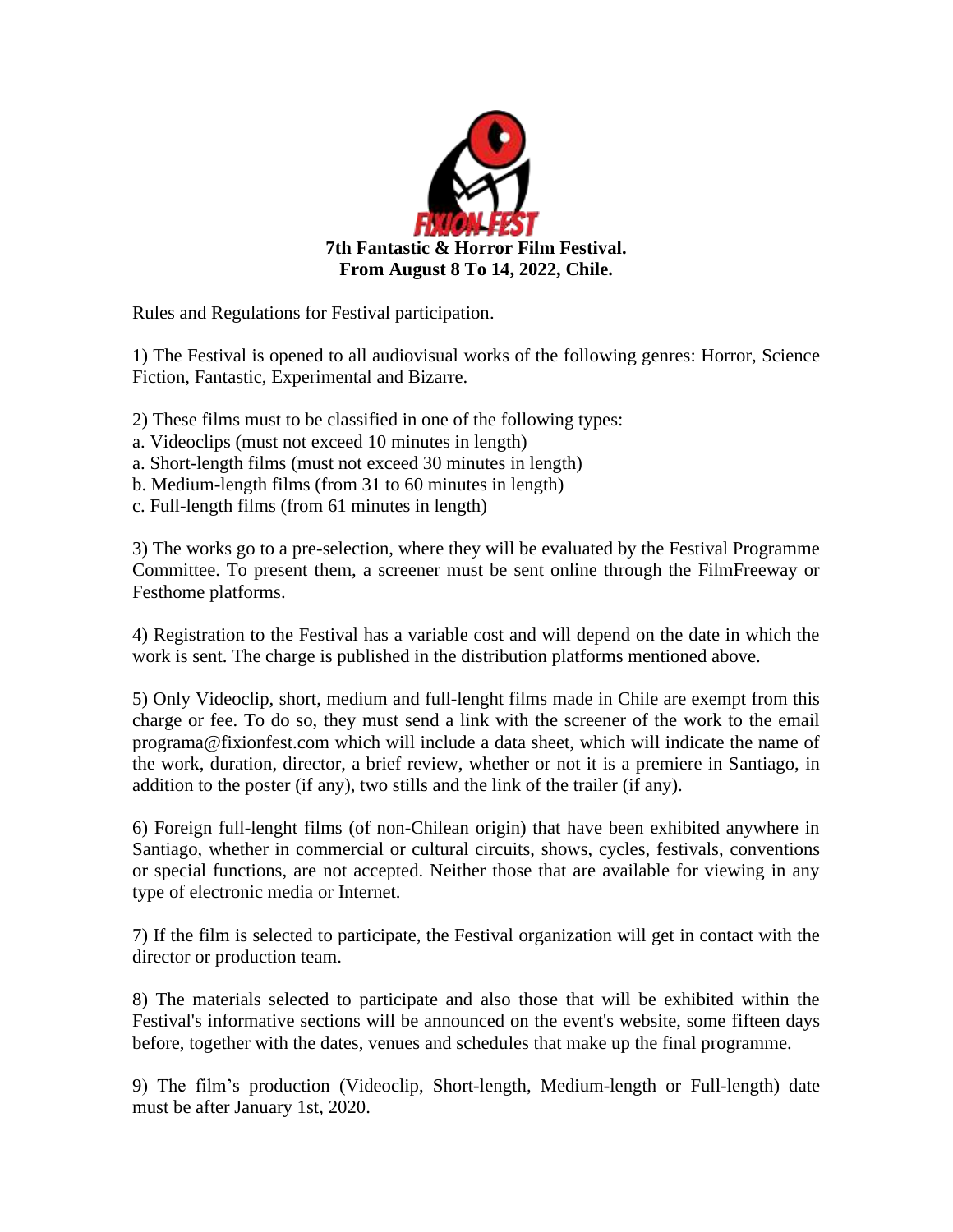

Rules and Regulations for Festival participation.

1) The Festival is opened to all audiovisual works of the following genres: Horror, Science Fiction, Fantastic, Experimental and Bizarre.

- 2) These films must to be classified in one of the following types:
- a. Videoclips (must not exceed 10 minutes in length)
- a. Short-length films (must not exceed 30 minutes in length)
- b. Medium-length films (from 31 to 60 minutes in length)
- c. Full-length films (from 61 minutes in length)

3) The works go to a pre-selection, where they will be evaluated by the Festival Programme Committee. To present them, a screener must be sent online through the FilmFreeway or Festhome platforms.

4) Registration to the Festival has a variable cost and will depend on the date in which the work is sent. The charge is published in the distribution platforms mentioned above.

5) Only Videoclip, short, medium and full-lenght films made in Chile are exempt from this charge or fee. To do so, they must send a link with the screener of the work to the email programa@fixionfest.com which will include a data sheet, which will indicate the name of the work, duration, director, a brief review, whether or not it is a premiere in Santiago, in addition to the poster (if any), two stills and the link of the trailer (if any).

6) Foreign full-lenght films (of non-Chilean origin) that have been exhibited anywhere in Santiago, whether in commercial or cultural circuits, shows, cycles, festivals, conventions or special functions, are not accepted. Neither those that are available for viewing in any type of electronic media or Internet.

7) If the film is selected to participate, the Festival organization will get in contact with the director or production team.

8) The materials selected to participate and also those that will be exhibited within the Festival's informative sections will be announced on the event's website, some fifteen days before, together with the dates, venues and schedules that make up the final programme.

9) The film's production (Videoclip, Short-length, Medium-length or Full-length) date must be after January 1st, 2020.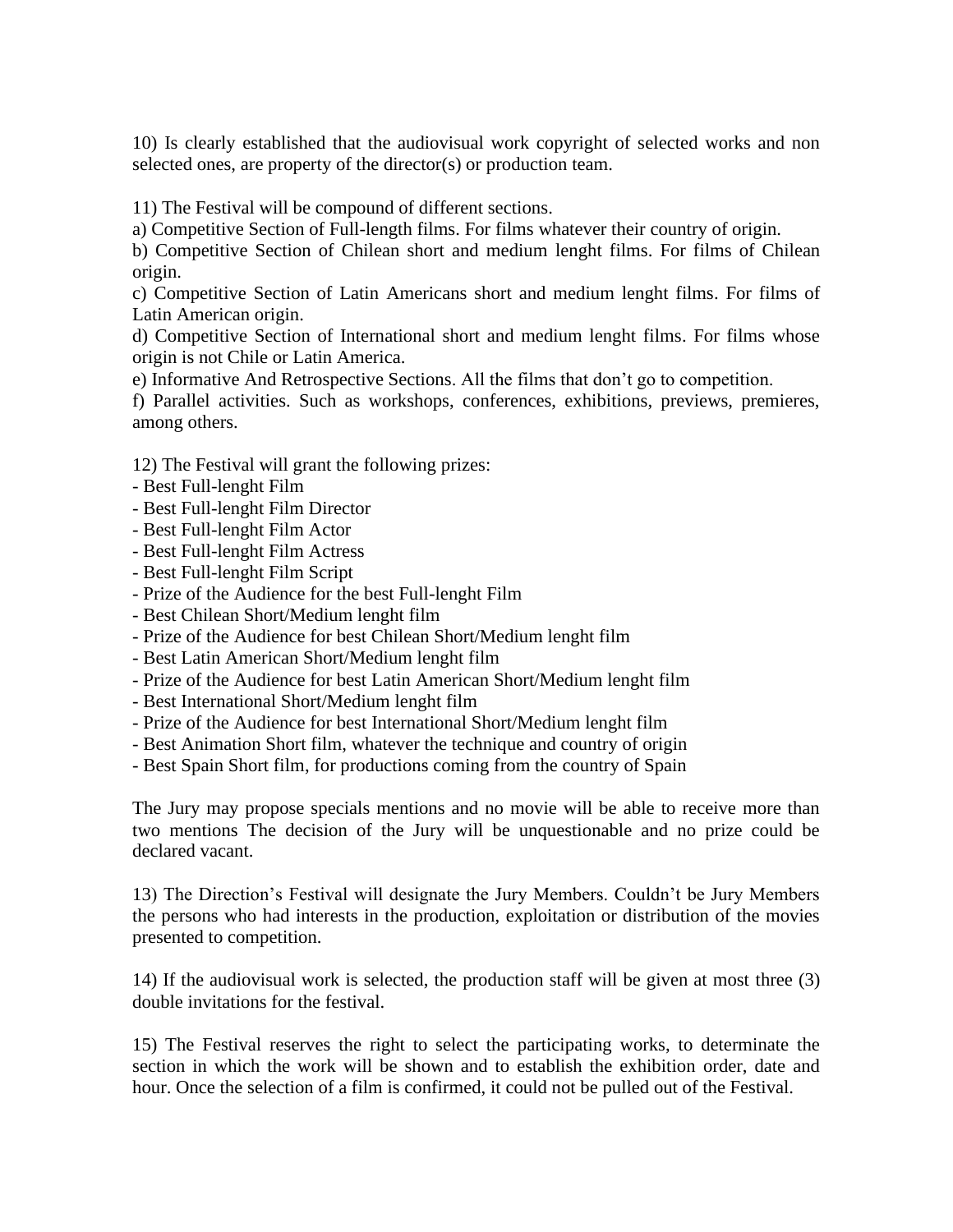10) Is clearly established that the audiovisual work copyright of selected works and non selected ones, are property of the director(s) or production team.

11) The Festival will be compound of different sections.

a) Competitive Section of Full-length films. For films whatever their country of origin.

b) Competitive Section of Chilean short and medium lenght films. For films of Chilean origin.

c) Competitive Section of Latin Americans short and medium lenght films. For films of Latin American origin.

d) Competitive Section of International short and medium lenght films. For films whose origin is not Chile or Latin America.

e) Informative And Retrospective Sections. All the films that don't go to competition.

f) Parallel activities. Such as workshops, conferences, exhibitions, previews, premieres, among others.

12) The Festival will grant the following prizes:

- Best Full-lenght Film
- Best Full-lenght Film Director
- Best Full-lenght Film Actor
- Best Full-lenght Film Actress
- Best Full-lenght Film Script
- Prize of the Audience for the best Full-lenght Film
- Best Chilean Short/Medium lenght film
- Prize of the Audience for best Chilean Short/Medium lenght film
- Best Latin American Short/Medium lenght film
- Prize of the Audience for best Latin American Short/Medium lenght film
- Best International Short/Medium lenght film
- Prize of the Audience for best International Short/Medium lenght film
- Best Animation Short film, whatever the technique and country of origin
- Best Spain Short film, for productions coming from the country of Spain

The Jury may propose specials mentions and no movie will be able to receive more than two mentions The decision of the Jury will be unquestionable and no prize could be declared vacant.

13) The Direction's Festival will designate the Jury Members. Couldn't be Jury Members the persons who had interests in the production, exploitation or distribution of the movies presented to competition.

14) If the audiovisual work is selected, the production staff will be given at most three (3) double invitations for the festival.

15) The Festival reserves the right to select the participating works, to determinate the section in which the work will be shown and to establish the exhibition order, date and hour. Once the selection of a film is confirmed, it could not be pulled out of the Festival.